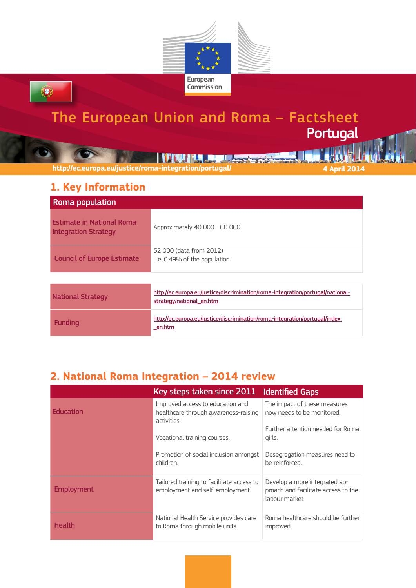

# The European Union and Roma – Factsheet Portugal

**TMJ 2013 TENNIS AND AN** 

**http://ec.europa.eu/justice/roma-integration/portugal/ 4 April 2014**

## **1. Key Information**

0

| Roma population                                                 |                                                                                                            |
|-----------------------------------------------------------------|------------------------------------------------------------------------------------------------------------|
| <b>Estimate in National Roma</b><br><b>Integration Strategy</b> | Approximately 40 000 - 60 000                                                                              |
| <b>Council of Europe Estimate</b>                               | 52 000 (data from 2012)<br>i.e. 0.49% of the population                                                    |
|                                                                 |                                                                                                            |
| <b>National Strategy</b>                                        | http://ec.europa.eu/justice/discrimination/roma-integration/portugal/national-<br>strategy/national_en.htm |
| <b>Funding</b>                                                  | http://ec.europa.eu/justice/discrimination/roma-integration/portugal/index<br>en.htm                       |

### **2. National Roma Integration – 2014 review**

|                   | Key steps taken since 2011                                                              | <b>Identified Gaps</b>                                                                 |
|-------------------|-----------------------------------------------------------------------------------------|----------------------------------------------------------------------------------------|
| <b>Education</b>  | Improved access to education and<br>healthcare through awareness-raising<br>activities. | The impact of these measures<br>now needs to be monitored.                             |
|                   | Vocational training courses.                                                            | Further attention needed for Roma<br>girls.                                            |
|                   | Promotion of social inclusion amongst<br>children.                                      | Desegregation measures need to<br>he reinforced.                                       |
| <b>Employment</b> | Tailored training to facilitate access to<br>employment and self-employment             | Develop a more integrated ap-<br>proach and facilitate access to the<br>labour market. |
| <b>Health</b>     | National Health Service provides care<br>to Roma through mobile units.                  | Roma healthcare should be further<br>improved.                                         |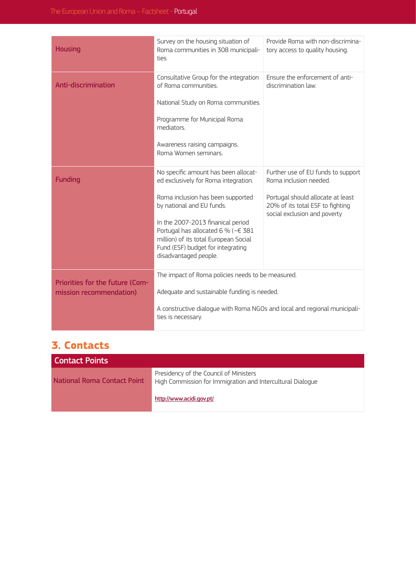| <b>Housing</b>                                             | Survey on the housing situation of<br>Roma communities in 308 municipali-<br>ties                                                                                                                                                                                                                                                         | Provide Roma with non-discrimina-<br>tory access to quality housing.                                                                                                  |
|------------------------------------------------------------|-------------------------------------------------------------------------------------------------------------------------------------------------------------------------------------------------------------------------------------------------------------------------------------------------------------------------------------------|-----------------------------------------------------------------------------------------------------------------------------------------------------------------------|
| Anti-discrimination                                        | Consultative Group for the integration<br>of Roma communities.<br>National Study on Roma communities.<br>Programme for Municipal Roma<br>mediators.<br>Awareness raising campaigns.<br>Roma Women seminars.                                                                                                                               | Ensure the enforcement of anti-<br>discrimination law.                                                                                                                |
| <b>Funding</b>                                             | No specific amount has been allocat-<br>ed exclusively for Roma integration.<br>Roma inclusion has been supported<br>by national and EU funds.<br>In the 2007-2013 finanical period<br>Portugal has allocated 6 % ( $\sim \in 381$<br>million) of its total European Social<br>Fund (ESF) budget for integrating<br>disadvantaged people. | Further use of EU funds to support<br>Roma inclusion needed.<br>Portugal should allocate at least<br>20% of its total ESF to fighting<br>social exclusion and poverty |
| Priorities for the future (Com-<br>mission recommendation) | The impact of Roma policies needs to be measured.<br>Adequate and sustainable funding is needed.<br>A constructive dialogue with Roma NGOs and local and regional municipali-<br>ties is necessary.                                                                                                                                       |                                                                                                                                                                       |

#### **3. Contacts**

| Contact Points                     |                                                                                                      |
|------------------------------------|------------------------------------------------------------------------------------------------------|
| <b>National Roma Contact Point</b> | Presidency of the Council of Ministers<br>High Commission for Immigration and Intercultural Dialogue |
|                                    | http://www.acidi.gov.pt/                                                                             |